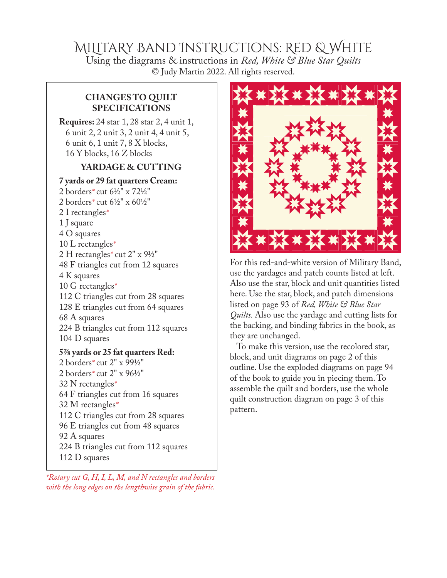## MiLitaRy Band InstRuctions: Red & White

Using the diagrams & instructions in *Red, White* & Blue Star Quilts © Judy Martin 2022. All rights reserved.

### **CHANGES TO QUILT SPECIFICATIONS**

**Requires:** 24 star 1, 28 star 2, 4 unit 1, 6 unit 2, 2 unit 3, 2 unit 4, 4 unit 5, 6 unit 6, 1 unit 7, 8 X blocks, 16 Y blocks, 16 Z blocks

### **YARDAGE & CUTTING**

#### **7 yards or 29 fat quarters Cream:**

- 2 borders*\** cut 6½" x 72½" 2 borders*\** cut 6½" x 60½" 2 I rectangles*\** 1 J square 4 O squares 10 L rectangles*\** 2 H rectangles*\** cut 2" x 9½" 48 F triangles cut from 12 squares 4 K squares 10 G rectangles*\** 112 C triangles cut from 28 squares 128 E triangles cut from 64 squares 68 A squares 224 B triangles cut from 112 squares 104 D squares **5⅞ yards or 25 fat quarters Red:**
- 2 borders*\** cut 2" x 99½" 2 borders*\** cut 2" x 96½" 32 N rectangles*\** 64 F triangles cut from 16 squares 32 M rectangles*\** 112 C triangles cut from 28 squares 96 E triangles cut from 48 squares 92 A squares 224 B triangles cut from 112 squares 112 D squares
- *\*Rotary cut G, H, I, L, M, and N rectangles and borders with the long edges on the lengthwise grain of the fabric.*



For this red-and-white version of Military Band, use the yardages and patch counts listed at left. Also use the star, block and unit quantities listed here. Use the star, block, and patch dimensions listed on page 93 of *Red, White & Blue Star Quilts.* Also use the yardage and cutting lists for the backing, and binding fabrics in the book, as they are unchanged.

To make this version, use the recolored star, block, and unit diagrams on page 2 of this outline. Use the exploded diagrams on page 94 of the book to guide you in piecing them. To assemble the quilt and borders, use the whole quilt construction diagram on page 3 of this pattern.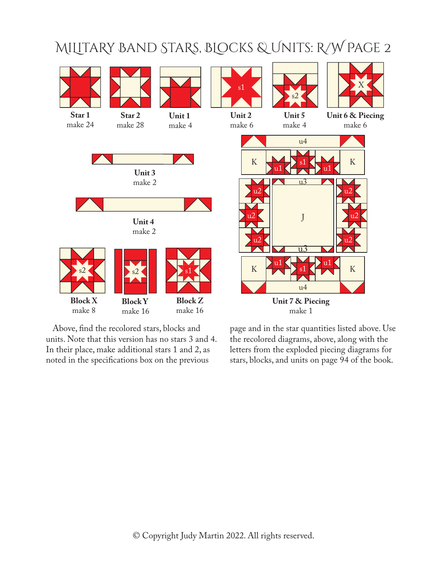# MiLitaRy Band StaRs, BLocks & Units: R/W Page 2



Above, find the recolored stars, blocks and units. Note that this version has no stars 3 and 4. In their place, make additional stars 1 and 2, as noted in the specifications box on the previous

page and in the star quantities listed above. Use the recolored diagrams, above, along with the letters from the exploded piecing diagrams for stars, blocks, and units on page 94 of the book.